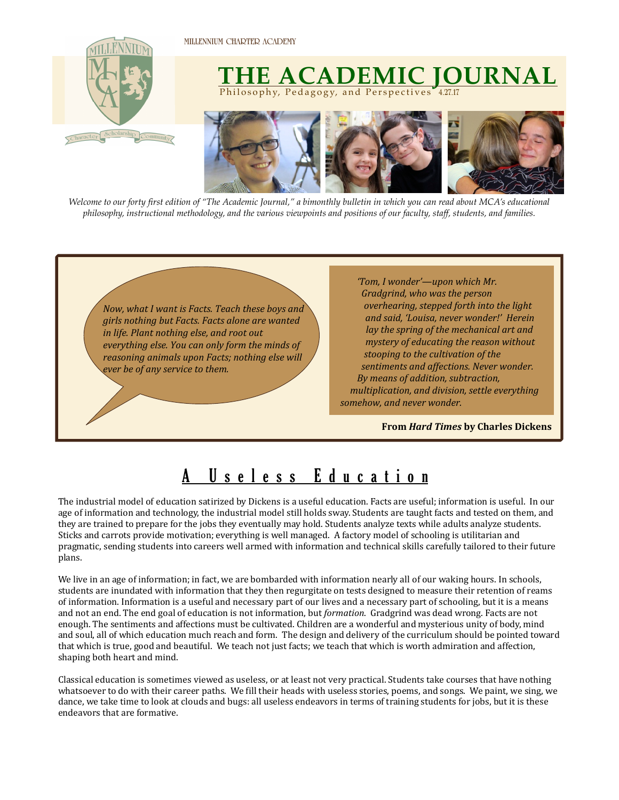

*Welcome to our forty first edition of "The Academic Journal," a bimonthly bulletin in which you can read about MCA's educational philosophy, instructional methodology, and the various viewpoints and positions of our faculty, staff, students, and families.* 



## A Useless Education

The industrial model of education satirized by Dickens is a useful education. Facts are useful; information is useful. In our age of information and technology, the industrial model still holds sway. Students are taught facts and tested on them, and they are trained to prepare for the jobs they eventually may hold. Students analyze texts while adults analyze students. Sticks and carrots provide motivation; everything is well managed. A factory model of schooling is utilitarian and pragmatic, sending students into careers well armed with information and technical skills carefully tailored to their future plans.

We live in an age of information; in fact, we are bombarded with information nearly all of our waking hours. In schools, students are inundated with information that they then regurgitate on tests designed to measure their retention of reams of information. Information is a useful and necessary part of our lives and a necessary part of schooling, but it is a means and not an end. The end goal of education is not information, but *formation*. Gradgrind was dead wrong. Facts are not enough. The sentiments and affections must be cultivated. Children are a wonderful and mysterious unity of body, mind and soul, all of which education much reach and form. The design and delivery of the curriculum should be pointed toward that which is true, good and beautiful. We teach not just facts; we teach that which is worth admiration and affection, shaping both heart and mind.

Classical education is sometimes viewed as useless, or at least not very practical. Students take courses that have nothing whatsoever to do with their career paths. We fill their heads with useless stories, poems, and songs. We paint, we sing, we dance, we take time to look at clouds and bugs: all useless endeavors in terms of training students for jobs, but it is these endeavors that are formative.